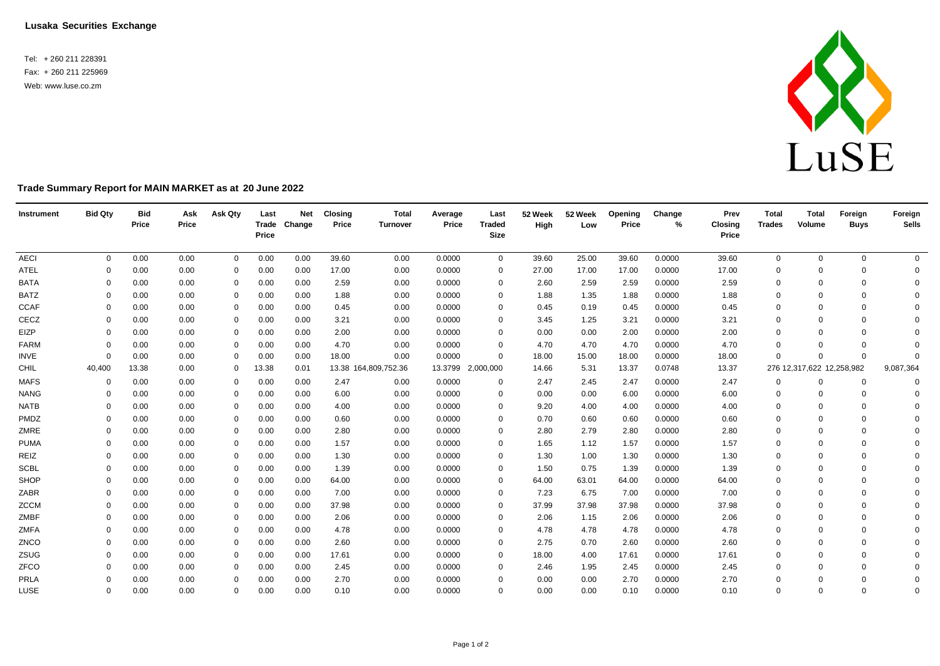**Lusaka Securities Exchange**

Tel: + 260 211 228391 Fax: + 260 211 225969 Web: [www.luse.co.zm](http://www.luse.co.zm/)



## **Trade Summary Report for MAIN MARKET as at 20 June 2022**

| Instrument  | <b>Bid Qty</b> | <b>Bid</b><br>Price | Ask<br>Price | Ask Qty     | Last<br>Price | <b>Net</b><br>Trade Change | <b>Closing</b><br>Price | <b>Total</b><br><b>Turnover</b> | Average<br>Price | Last<br><b>Traded</b><br><b>Size</b> | 52 Week<br>High | 52 Week<br>Low | Opening<br>Price | Change<br>% | Prev<br><b>Closing</b><br>Price | <b>Total</b><br><b>Trades</b> | <b>Total</b><br>Volume    | Foreign<br><b>Buys</b> | Foreign<br><b>Sells</b> |
|-------------|----------------|---------------------|--------------|-------------|---------------|----------------------------|-------------------------|---------------------------------|------------------|--------------------------------------|-----------------|----------------|------------------|-------------|---------------------------------|-------------------------------|---------------------------|------------------------|-------------------------|
| <b>AECI</b> | $\Omega$       | 0.00                | 0.00         | $\mathbf 0$ | 0.00          | 0.00                       | 39.60                   | 0.00                            | 0.0000           | $\mathbf 0$                          | 39.60           | 25.00          | 39.60            | 0.0000      | 39.60                           | 0                             | $\mathbf{0}$              | $\mathbf 0$            | $\overline{0}$          |
| ATEL        | $\Omega$       | 0.00                | 0.00         | $\mathbf 0$ | 0.00          | 0.00                       | 17.00                   | 0.00                            | 0.0000           | 0                                    | 27.00           | 17.00          | 17.00            | 0.0000      | 17.00                           | 0                             | $\Omega$                  | $\mathbf 0$            | $\mathbf{0}$            |
| <b>BATA</b> | $\Omega$       | 0.00                | 0.00         | $\mathbf 0$ | 0.00          | 0.00                       | 2.59                    | 0.00                            | 0.0000           | 0                                    | 2.60            | 2.59           | 2.59             | 0.0000      | 2.59                            | $\mathbf 0$                   | $\Omega$                  | $\mathbf 0$            | $\Omega$                |
| <b>BATZ</b> | $\Omega$       | 0.00                | 0.00         | 0           | 0.00          | 0.00                       | 1.88                    | 0.00                            | 0.0000           | 0                                    | 1.88            | 1.35           | 1.88             | 0.0000      | 1.88                            | $\mathbf 0$                   |                           | $\Omega$               | $\Omega$                |
| <b>CCAF</b> | $\Omega$       | 0.00                | 0.00         | $\mathbf 0$ | 0.00          | 0.00                       | 0.45                    | 0.00                            | 0.0000           | 0                                    | 0.45            | 0.19           | 0.45             | 0.0000      | 0.45                            | $\mathbf 0$                   | $\Omega$                  | $\Omega$               | $\Omega$                |
| CECZ        | $\Omega$       | 0.00                | 0.00         | $\mathbf 0$ | 0.00          | 0.00                       | 3.21                    | 0.00                            | 0.0000           | 0                                    | 3.45            | 1.25           | 3.21             | 0.0000      | 3.21                            | 0                             | $\Omega$                  | $\mathbf 0$            | $\Omega$                |
| EIZP        | $\Omega$       | 0.00                | 0.00         | $\mathbf 0$ | 0.00          | 0.00                       | 2.00                    | 0.00                            | 0.0000           | 0                                    | 0.00            | 0.00           | 2.00             | 0.0000      | 2.00                            | $\Omega$                      |                           | $\Omega$               | $\Omega$                |
| <b>FARM</b> | $\Omega$       | 0.00                | 0.00         | $\mathbf 0$ | 0.00          | 0.00                       | 4.70                    | 0.00                            | 0.0000           | $\Omega$                             | 4.70            | 4.70           | 4.70             | 0.0000      | 4.70                            | $\Omega$                      | $\Omega$                  | $\Omega$               | $\Omega$                |
| <b>INVE</b> | $\Omega$       | 0.00                | 0.00         | $\mathbf 0$ | 0.00          | 0.00                       | 18.00                   | 0.00                            | 0.0000           | $\mathbf 0$                          | 18.00           | 15.00          | 18.00            | 0.0000      | 18.00                           | $\Omega$                      | $\Omega$                  | $\Omega$               | $\Omega$                |
| CHIL        | 40,400         | 13.38               | 0.00         | $\mathbf 0$ | 13.38         | 0.01                       |                         | 13.38 164,809,752.36            | 13.3799          | 2,000,000                            | 14.66           | 5.31           | 13.37            | 0.0748      | 13.37                           |                               | 276 12,317,622 12,258,982 |                        | 9,087,364               |
| <b>MAFS</b> | 0              | 0.00                | 0.00         | $\mathbf 0$ | 0.00          | 0.00                       | 2.47                    | 0.00                            | 0.0000           | $\Omega$                             | 2.47            | 2.45           | 2.47             | 0.0000      | 2.47                            | 0                             | 0                         | $\mathbf 0$            | $\mathbf 0$             |
| <b>NANG</b> | $\Omega$       | 0.00                | 0.00         | $\mathbf 0$ | 0.00          | 0.00                       | 6.00                    | 0.00                            | 0.0000           | 0                                    | 0.00            | 0.00           | 6.00             | 0.0000      | 6.00                            | 0                             | $\Omega$                  | $\Omega$               | $\Omega$                |
| <b>NATB</b> | $\Omega$       | 0.00                | 0.00         | $\mathbf 0$ | 0.00          | 0.00                       | 4.00                    | 0.00                            | 0.0000           | $\Omega$                             | 9.20            | 4.00           | 4.00             | 0.0000      | 4.00                            | $\mathbf 0$                   | $\Omega$                  | $\Omega$               | $\Omega$                |
| PMDZ        | $\Omega$       | 0.00                | 0.00         | $\mathbf 0$ | 0.00          | 0.00                       | 0.60                    | 0.00                            | 0.0000           | 0                                    | 0.70            | 0.60           | 0.60             | 0.0000      | 0.60                            | $\mathbf 0$                   | $\Omega$                  | $\Omega$               | $\Omega$                |
| ZMRE        | $\Omega$       | 0.00                | 0.00         | $\mathbf 0$ | 0.00          | 0.00                       | 2.80                    | 0.00                            | 0.0000           | 0                                    | 2.80            | 2.79           | 2.80             | 0.0000      | 2.80                            | $\mathbf 0$                   | $\Omega$                  | $\Omega$               | $\Omega$                |
| <b>PUMA</b> | $\Omega$       | 0.00                | 0.00         | $\mathbf 0$ | 0.00          | 0.00                       | 1.57                    | 0.00                            | 0.0000           | 0                                    | 1.65            | 1.12           | 1.57             | 0.0000      | 1.57                            | $\mathbf 0$                   | $\Omega$                  | $\Omega$               | $\Omega$                |
| REIZ        | $\Omega$       | 0.00                | 0.00         | $\mathbf 0$ | 0.00          | 0.00                       | 1.30                    | 0.00                            | 0.0000           | 0                                    | 1.30            | 1.00           | 1.30             | 0.0000      | 1.30                            | $\mathbf 0$                   | $\Omega$                  | $\Omega$               | $\Omega$                |
| <b>SCBL</b> | $\Omega$       | 0.00                | 0.00         | $\mathbf 0$ | 0.00          | 0.00                       | 1.39                    | 0.00                            | 0.0000           | 0                                    | 1.50            | 0.75           | 1.39             | 0.0000      | 1.39                            | $\Omega$                      | $\Omega$                  | $\mathbf 0$            | $\Omega$                |
| SHOP        | $\Omega$       | 0.00                | 0.00         | $\mathbf 0$ | 0.00          | 0.00                       | 64.00                   | 0.00                            | 0.0000           | 0                                    | 64.00           | 63.01          | 64.00            | 0.0000      | 64.00                           | $\mathbf 0$                   | $\Omega$                  | $\Omega$               | 0                       |
| ZABR        | $\Omega$       | 0.00                | 0.00         | 0           | 0.00          | 0.00                       | 7.00                    | 0.00                            | 0.0000           | 0                                    | 7.23            | 6.75           | 7.00             | 0.0000      | 7.00                            | $\mathbf 0$                   | $\Omega$                  | $\Omega$               | $\Omega$                |
| <b>ZCCM</b> | $\Omega$       | 0.00                | 0.00         | $\mathbf 0$ | 0.00          | 0.00                       | 37.98                   | 0.00                            | 0.0000           | $\Omega$                             | 37.99           | 37.98          | 37.98            | 0.0000      | 37.98                           | $\Omega$                      | $\Omega$                  | $\Omega$               | $\Omega$                |
| ZMBF        | $\Omega$       | 0.00                | 0.00         | $\mathbf 0$ | 0.00          | 0.00                       | 2.06                    | 0.00                            | 0.0000           | $\Omega$                             | 2.06            | 1.15           | 2.06             | 0.0000      | 2.06                            | $\mathbf 0$                   | $\Omega$                  | $\Omega$               | $\Omega$                |
| ZMFA        | $\Omega$       | 0.00                | 0.00         | 0           | 0.00          | 0.00                       | 4.78                    | 0.00                            | 0.0000           | 0                                    | 4.78            | 4.78           | 4.78             | 0.0000      | 4.78                            | $\mathbf 0$                   | $\Omega$                  | $\Omega$               | $\Omega$                |
| ZNCO        | $\Omega$       | 0.00                | 0.00         | $\mathbf 0$ | 0.00          | 0.00                       | 2.60                    | 0.00                            | 0.0000           | 0                                    | 2.75            | 0.70           | 2.60             | 0.0000      | 2.60                            | $\Omega$                      | $\Omega$                  | $\Omega$               | $\Omega$                |
| ZSUG        | $\Omega$       | 0.00                | 0.00         | $\mathbf 0$ | 0.00          | 0.00                       | 17.61                   | 0.00                            | 0.0000           | 0                                    | 18.00           | 4.00           | 17.61            | 0.0000      | 17.61                           | $\mathbf 0$                   | $\Omega$                  | $\Omega$               | $\Omega$                |
| ZFCO        | $\Omega$       | 0.00                | 0.00         | $\mathbf 0$ | 0.00          | 0.00                       | 2.45                    | 0.00                            | 0.0000           | 0                                    | 2.46            | 1.95           | 2.45             | 0.0000      | 2.45                            | $\mathbf 0$                   |                           | $\Omega$               | $\Omega$                |
| PRLA        | $\Omega$       | 0.00                | 0.00         | $\Omega$    | 0.00          | 0.00                       | 2.70                    | 0.00                            | 0.0000           | $\Omega$                             | 0.00            | 0.00           | 2.70             | 0.0000      | 2.70                            | $\Omega$                      | $\Omega$                  | $\Omega$               | $\mathbf 0$             |
| LUSE        | $\Omega$       | 0.00                | 0.00         | 0           | 0.00          | 0.00                       | 0.10                    | 0.00                            | 0.0000           | $\Omega$                             | 0.00            | 0.00           | 0.10             | 0.0000      | 0.10                            | $\mathbf 0$                   | $\Omega$                  | $\Omega$               | $\Omega$                |